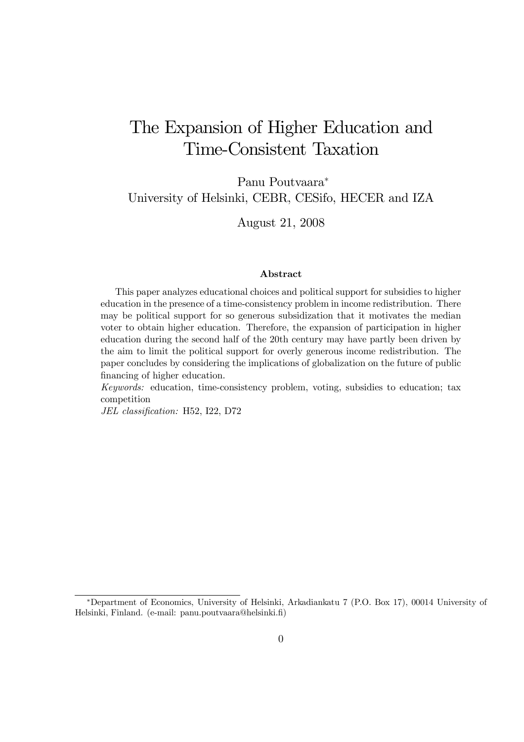# The Expansion of Higher Education and Time-Consistent Taxation

Panu Poutvaara<sup>∗</sup> University of Helsinki, CEBR, CESifo, HECER and IZA

August 21, 2008

### Abstract

This paper analyzes educational choices and political support for subsidies to higher education in the presence of a time-consistency problem in income redistribution. There may be political support for so generous subsidization that it motivates the median voter to obtain higher education. Therefore, the expansion of participation in higher education during the second half of the 20th century may have partly been driven by the aim to limit the political support for overly generous income redistribution. The paper concludes by considering the implications of globalization on the future of public financing of higher education.

*Keywords:* education, time-consistency problem, voting, subsidies to education; tax competition

*JEL classification:* H52, I22, D72

<sup>∗</sup>Department of Economics, University of Helsinki, Arkadiankatu 7 (P.O. Box 17), 00014 University of Helsinki, Finland. (e-mail: panu.poutvaara@helsinki.fi)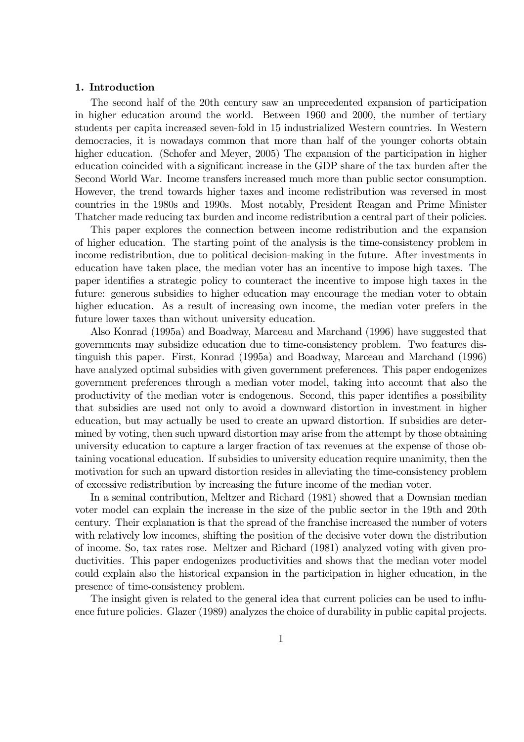### 1. Introduction

The second half of the 20th century saw an unprecedented expansion of participation in higher education around the world. Between 1960 and 2000, the number of tertiary students per capita increased seven-fold in 15 industrialized Western countries. In Western democracies, it is nowadays common that more than half of the younger cohorts obtain higher education. (Schofer and Meyer, 2005) The expansion of the participation in higher education coincided with a significant increase in the GDP share of the tax burden after the Second World War. Income transfers increased much more than public sector consumption. However, the trend towards higher taxes and income redistribution was reversed in most countries in the 1980s and 1990s. Most notably, President Reagan and Prime Minister Thatcher made reducing tax burden and income redistribution a central part of their policies.

This paper explores the connection between income redistribution and the expansion of higher education. The starting point of the analysis is the time-consistency problem in income redistribution, due to political decision-making in the future. After investments in education have taken place, the median voter has an incentive to impose high taxes. The paper identifies a strategic policy to counteract the incentive to impose high taxes in the future: generous subsidies to higher education may encourage the median voter to obtain higher education. As a result of increasing own income, the median voter prefers in the future lower taxes than without university education.

Also Konrad (1995a) and Boadway, Marceau and Marchand (1996) have suggested that governments may subsidize education due to time-consistency problem. Two features distinguish this paper. First, Konrad (1995a) and Boadway, Marceau and Marchand (1996) have analyzed optimal subsidies with given government preferences. This paper endogenizes government preferences through a median voter model, taking into account that also the productivity of the median voter is endogenous. Second, this paper identifies a possibility that subsidies are used not only to avoid a downward distortion in investment in higher education, but may actually be used to create an upward distortion. If subsidies are determined by voting, then such upward distortion may arise from the attempt by those obtaining university education to capture a larger fraction of tax revenues at the expense of those obtaining vocational education. If subsidies to university education require unanimity, then the motivation for such an upward distortion resides in alleviating the time-consistency problem of excessive redistribution by increasing the future income of the median voter.

In a seminal contribution, Meltzer and Richard (1981) showed that a Downsian median voter model can explain the increase in the size of the public sector in the 19th and 20th century. Their explanation is that the spread of the franchise increased the number of voters with relatively low incomes, shifting the position of the decisive voter down the distribution of income. So, tax rates rose. Meltzer and Richard (1981) analyzed voting with given productivities. This paper endogenizes productivities and shows that the median voter model could explain also the historical expansion in the participation in higher education, in the presence of time-consistency problem.

The insight given is related to the general idea that current policies can be used to influence future policies. Glazer (1989) analyzes the choice of durability in public capital projects.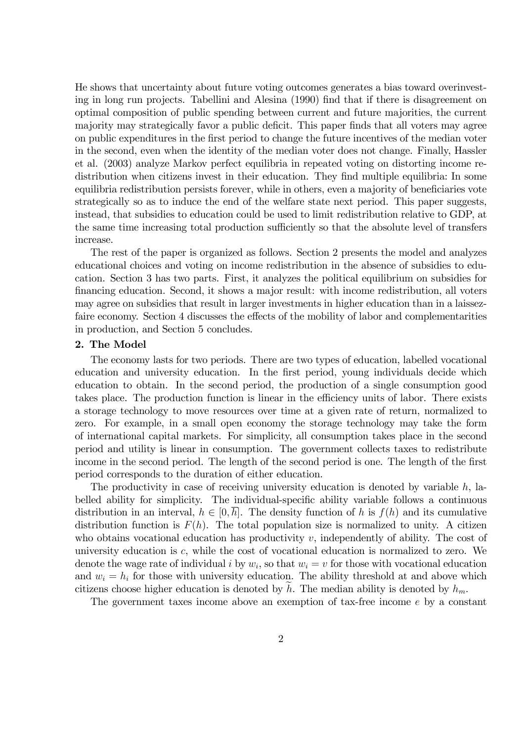He shows that uncertainty about future voting outcomes generates a bias toward overinvesting in long run projects. Tabellini and Alesina (1990) find that if there is disagreement on optimal composition of public spending between current and future majorities, the current majority may strategically favor a public deficit. This paper finds that all voters may agree on public expenditures in the first period to change the future incentives of the median voter in the second, even when the identity of the median voter does not change. Finally, Hassler et al. (2003) analyze Markov perfect equilibria in repeated voting on distorting income redistribution when citizens invest in their education. They find multiple equilibria: In some equilibria redistribution persists forever, while in others, even a majority of beneficiaries vote strategically so as to induce the end of the welfare state next period. This paper suggests, instead, that subsidies to education could be used to limit redistribution relative to GDP, at the same time increasing total production sufficiently so that the absolute level of transfers increase.

The rest of the paper is organized as follows. Section 2 presents the model and analyzes educational choices and voting on income redistribution in the absence of subsidies to education. Section 3 has two parts. First, it analyzes the political equilibrium on subsidies for financing education. Second, it shows a major result: with income redistribution, all voters may agree on subsidies that result in larger investments in higher education than in a laissezfaire economy. Section 4 discusses the effects of the mobility of labor and complementarities in production, and Section 5 concludes.

### 2. The Model

The economy lasts for two periods. There are two types of education, labelled vocational education and university education. In the first period, young individuals decide which education to obtain. In the second period, the production of a single consumption good takes place. The production function is linear in the efficiency units of labor. There exists a storage technology to move resources over time at a given rate of return, normalized to zero. For example, in a small open economy the storage technology may take the form of international capital markets. For simplicity, all consumption takes place in the second period and utility is linear in consumption. The government collects taxes to redistribute income in the second period. The length of the second period is one. The length of the first period corresponds to the duration of either education.

The productivity in case of receiving university education is denoted by variable  $h$ , labelled ability for simplicity. The individual-specific ability variable follows a continuous distribution in an interval,  $h \in [0, h]$ . The density function of h is  $f(h)$  and its cumulative distribution function is  $F(h)$ . The total population size is normalized to unity. A citizen who obtains vocational education has productivity  $v$ , independently of ability. The cost of university education is c, while the cost of vocational education is normalized to zero. We denote the wage rate of individual i by  $w_i$ , so that  $w_i = v$  for those with vocational education and  $w_i = h_i$  for those with university education. The ability threshold at and above which citizens choose higher education is denoted by h. The median ability is denoted by  $h_m$ .

The government taxes income above an exemption of tax-free income e by a constant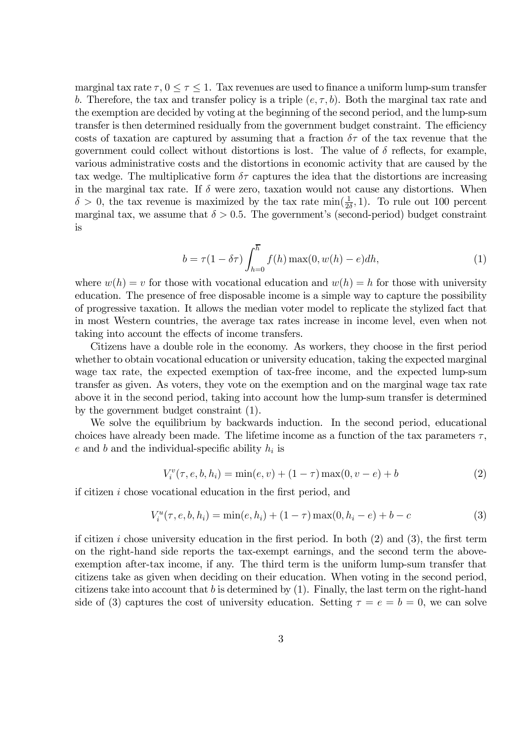marginal tax rate  $\tau$ ,  $0 \leq \tau \leq 1$ . Tax revenues are used to finance a uniform lump-sum transfer b. Therefore, the tax and transfer policy is a triple  $(e, \tau, b)$ . Both the marginal tax rate and the exemption are decided by voting at the beginning of the second period, and the lump-sum transfer is then determined residually from the government budget constraint. The efficiency costs of taxation are captured by assuming that a fraction  $\delta\tau$  of the tax revenue that the government could collect without distortions is lost. The value of  $\delta$  reflects, for example, various administrative costs and the distortions in economic activity that are caused by the tax wedge. The multiplicative form  $\delta\tau$  captures the idea that the distortions are increasing in the marginal tax rate. If  $\delta$  were zero, taxation would not cause any distortions. When  $\delta > 0$ , the tax revenue is maximized by the tax rate  $\min(\frac{1}{2\delta}, 1)$ . To rule out 100 percent marginal tax, we assume that  $\delta > 0.5$ . The government's (second-period) budget constraint is

$$
b = \tau(1 - \delta\tau) \int_{h=0}^{\overline{h}} f(h) \max(0, w(h) - e) dh,
$$
\n(1)

where  $w(h) = v$  for those with vocational education and  $w(h) = h$  for those with university education. The presence of free disposable income is a simple way to capture the possibility of progressive taxation. It allows the median voter model to replicate the stylized fact that in most Western countries, the average tax rates increase in income level, even when not taking into account the effects of income transfers.

Citizens have a double role in the economy. As workers, they choose in the first period whether to obtain vocational education or university education, taking the expected marginal wage tax rate, the expected exemption of tax-free income, and the expected lump-sum transfer as given. As voters, they vote on the exemption and on the marginal wage tax rate above it in the second period, taking into account how the lump-sum transfer is determined by the government budget constraint (1).

We solve the equilibrium by backwards induction. In the second period, educational choices have already been made. The lifetime income as a function of the tax parameters  $\tau$ ,  $e$  and  $b$  and the individual-specific ability  $h_i$  is

$$
V_i^v(\tau, e, b, h_i) = \min(e, v) + (1 - \tau) \max(0, v - e) + b \tag{2}
$$

if citizen i chose vocational education in the first period, and

$$
V_i^u(\tau, e, b, h_i) = \min(e, h_i) + (1 - \tau) \max(0, h_i - e) + b - c \tag{3}
$$

if citizen i chose university education in the first period. In both  $(2)$  and  $(3)$ , the first term on the right-hand side reports the tax-exempt earnings, and the second term the aboveexemption after-tax income, if any. The third term is the uniform lump-sum transfer that citizens take as given when deciding on their education. When voting in the second period, citizens take into account that b is determined by  $(1)$ . Finally, the last term on the right-hand side of (3) captures the cost of university education. Setting  $\tau = e = b = 0$ , we can solve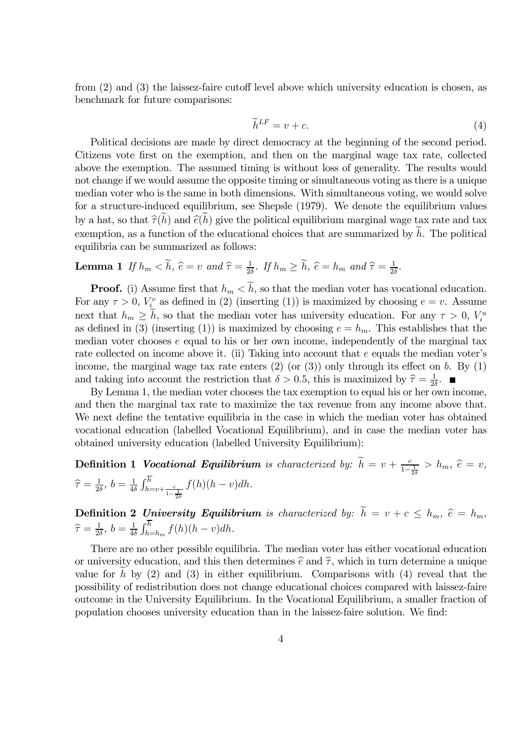from (2) and (3) the laissez-faire cutoff level above which university education is chosen, as benchmark for future comparisons:

$$
\widetilde{h}^{LF} = v + c. \tag{4}
$$

Political decisions are made by direct democracy at the beginning of the second period. Citizens vote first on the exemption, and then on the marginal wage tax rate, collected above the exemption. The assumed timing is without loss of generality. The results would not change if we would assume the opposite timing or simultaneous voting as there is a unique median voter who is the same in both dimensions. With simultaneous voting, we would solve for a structure-induced equilibrium, see Shepsle (1979). We denote the equilibrium values by a hat, so that  $\hat{\tau}(h)$  and  $\hat{e}(h)$  give the political equilibrium marginal wage tax rate and tax exemption, as a function of the educational choices that are summarized by  $h$ . The political equilibria can be summarized as follows:

**Lemma 1** If  $h_m < h$ ,  $\hat{e} = v$  and  $\hat{\tau} = \frac{1}{2\hat{e}}$  $\frac{1}{2\delta}$ *.* If  $h_m \ge \tilde{h}$ ,  $\hat{e} = h_m$  and  $\hat{\tau} = \frac{1}{2\delta}$  $\frac{1}{2\delta}$ .

**Proof.** (i) Assume first that  $h_m < \tilde{h}$ , so that the median voter has vocational education. For any  $\tau > 0$ ,  $V_i^v$  as defined in (2) (inserting (1)) is maximized by choosing  $e = v$ . Assume next that  $h_m \geq h$ , so that the median voter has university education. For any  $\tau > 0$ ,  $V_i^u$ as defined in (3) (inserting (1)) is maximized by choosing  $e = h_m$ . This establishes that the median voter chooses  $e$  equal to his or her own income, independently of the marginal tax rate collected on income above it. (ii) Taking into account that  $e$  equals the median voter's income, the marginal wage tax rate enters  $(2)$  (or  $(3)$ ) only through its effect on b. By  $(1)$ and taking into account the restriction that  $\delta > 0.5$ , this is maximized by  $\hat{\tau} = \frac{1}{2\hat{c}}$  $rac{1}{2\delta}$ .

By Lemma 1, the median voter chooses the tax exemption to equal his or her own income, and then the marginal tax rate to maximize the tax revenue from any income above that. We next define the tentative equilibria in the case in which the median voter has obtained vocational education (labelled Vocational Equilibrium), and in case the median voter has obtained university education (labelled University Equilibrium):

**Definition 1 Vocational Equilibrium** is characterized by:  $\tilde{h} = v + \frac{c}{1-\frac{1}{2\delta}} > h_m$ ,  $\hat{e} = v$ ,  $\widehat{\tau} = \frac{1}{2\delta}$  $\frac{1}{2\delta}$ *,*  $b = \frac{1}{4\delta}$  $rac{1}{4\delta} \int_{h=v+\frac{c}{1-\frac{1}{2\delta}}}^{h}$  $f(h)(h - v)dh$ .

**Definition 2 University Equilibrium** is characterized by:  $h = v + c \le h_m$ ,  $\hat{e} = h_m$ ,  $\widehat{\tau} = \frac{1}{2\delta}$  $\frac{1}{2\delta}$ *,*  $b = \frac{1}{4\delta}$  $\frac{1}{4\delta} \int_{h=h_m}^{h} f(h)(h-v) dh.$ 

There are no other possible equilibria. The median voter has either vocational education or university education, and this then determines  $\hat{e}$  and  $\hat{\tau}$ , which in turn determine a unique value for h by  $(2)$  and  $(3)$  in either equilibrium. Comparisons with  $(4)$  reveal that the possibility of redistribution does not change educational choices compared with laissez-faire outcome in the University Equilibrium. In the Vocational Equilibrium, a smaller fraction of population chooses university education than in the laissez-faire solution. We find: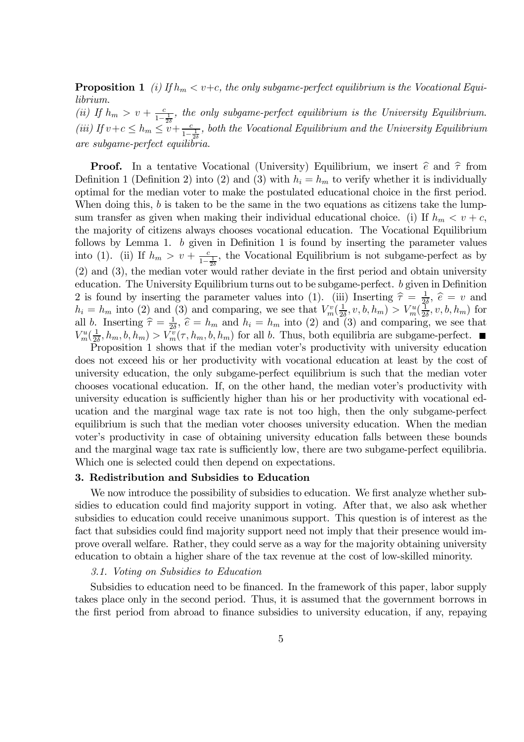**Proposition 1** (i) If  $h_m < v+c$ , the only subgame-perfect equilibrium is the Vocational Equi*librium.*

(*ii*) If  $h_m > v + \frac{c}{1-\frac{1}{2\delta}}$ , the only subgame-perfect equilibrium is the University Equilibrium. (*iii*) If  $v + c \le h_m \le v + \frac{c}{1-\frac{1}{2\delta}}$ , both the Vocational Equilibrium and the University Equilibrium *are subgame-perfect equilibria.*

**Proof.** In a tentative Vocational (University) Equilibrium, we insert  $\hat{e}$  and  $\hat{\tau}$  from Definition 1 (Definition 2) into (2) and (3) with  $h_i = h_m$  to verify whether it is individually optimal for the median voter to make the postulated educational choice in the first period. When doing this,  $b$  is taken to be the same in the two equations as citizens take the lumpsum transfer as given when making their individual educational choice. (i) If  $h_m < v + c$ , the majority of citizens always chooses vocational education. The Vocational Equilibrium follows by Lemma 1. b given in Definition 1 is found by inserting the parameter values into (1). (ii) If  $h_m > v + \frac{c}{1-\frac{1}{2\delta}}$ , the Vocational Equilibrium is not subgame-perfect as by (2) and (3), the median voter would rather deviate in the first period and obtain university education. The University Equilibrium turns out to be subgame-perfect. b given in Definition 2 is found by inserting the parameter values into (1). (iii) Inserting  $\hat{\tau} = \frac{1}{2}$  $\frac{1}{2\delta}$ ,  $\hat{e} = v$  and  $h_i = h_m$  into (2) and (3) and comparing, we see that  $V_m^v(\frac{1}{2a})$  $\frac{1}{2\delta}, v, b, h_m) > V_m^u(\frac{1}{2\delta})$  $\frac{1}{2\delta}, v, b, h_m)$  for all b. Inserting  $\hat{\tau} = \frac{1}{2\hat{c}}$  $\frac{1}{2\delta}$ ,  $\hat{e} = h_m$  and  $h_i = h_m$  into (2) and (3) and comparing, we see that  $V_m^u(\frac{1}{2\delta}$  $\frac{1}{2\delta}, h_m, b, h_m) > V_m^{\nu}(\tau, h_m, b, h_m)$  for all b. Thus, both equilibria are subgame-perfect.

Proposition 1 shows that if the median voter's productivity with university education does not exceed his or her productivity with vocational education at least by the cost of university education, the only subgame-perfect equilibrium is such that the median voter chooses vocational education. If, on the other hand, the median voter's productivity with university education is sufficiently higher than his or her productivity with vocational education and the marginal wage tax rate is not too high, then the only subgame-perfect equilibrium is such that the median voter chooses university education. When the median voter's productivity in case of obtaining university education falls between these bounds and the marginal wage tax rate is sufficiently low, there are two subgame-perfect equilibria. Which one is selected could then depend on expectations.

### 3. Redistribution and Subsidies to Education

We now introduce the possibility of subsidies to education. We first analyze whether subsidies to education could find majority support in voting. After that, we also ask whether subsidies to education could receive unanimous support. This question is of interest as the fact that subsidies could find majority support need not imply that their presence would improve overall welfare. Rather, they could serve as a way for the majority obtaining university education to obtain a higher share of the tax revenue at the cost of low-skilled minority.

### *3.1. Voting on Subsidies to Education*

Subsidies to education need to be financed. In the framework of this paper, labor supply takes place only in the second period. Thus, it is assumed that the government borrows in the first period from abroad to finance subsidies to university education, if any, repaying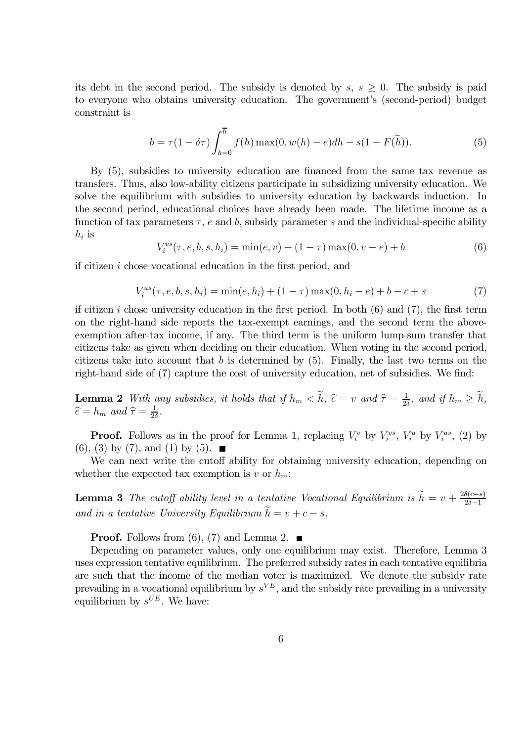its debt in the second period. The subsidy is denoted by  $s, s \geq 0$ . The subsidy is paid to everyone who obtains university education. The government's (second-period) budget constraint is

$$
b = \tau (1 - \delta \tau) \int_{h=0}^{\overline{h}} f(h) \max(0, w(h) - e) dh - s(1 - F(\tilde{h})).
$$
 (5)

By (5), subsidies to university education are financed from the same tax revenue as transfers. Thus, also low-ability citizens participate in subsidizing university education. We solve the equilibrium with subsidies to university education by backwards induction. In the second period, educational choices have already been made. The lifetime income as a function of tax parameters  $\tau$ , e and b, subsidy parameter s and the individual-specific ability  $h_i$  is

$$
V_i^{vs}(\tau, e, b, s, h_i) = \min(e, v) + (1 - \tau) \max(0, v - e) + b \tag{6}
$$

if citizen i chose vocational education in the first period, and

$$
V_i^{us}(\tau, e, b, s, h_i) = \min(e, h_i) + (1 - \tau) \max(0, h_i - e) + b - c + s \tag{7}
$$

if citizen i chose university education in the first period. In both  $(6)$  and  $(7)$ , the first term on the right-hand side reports the tax-exempt earnings, and the second term the aboveexemption after-tax income, if any. The third term is the uniform lump-sum transfer that citizens take as given when deciding on their education. When voting in the second period, citizens take into account that  $b$  is determined by  $(5)$ . Finally, the last two terms on the right-hand side of (7) capture the cost of university education, net of subsidies. We find:

**Lemma 2** *With any subsidies, it holds that if*  $h_m < h$ ,  $\hat{e} = v$  *and*  $\hat{\tau} = \frac{1}{2d}$  $\frac{1}{2\delta}$ *,* and if  $h_m \geq h$ *,*  $\widehat{e} = h_m$  and  $\widehat{\tau} = \frac{1}{2\delta}$  $\frac{1}{2\delta}$ .

**Proof.** Follows as in the proof for Lemma 1, replacing  $V_i^v$  by  $V_i^{vs}$ ,  $V_i^u$  by  $V_i^{us}$ , (2) by  $(6)$ ,  $(3)$  by  $(7)$ , and  $(1)$  by  $(5)$ .

We can next write the cutoff ability for obtaining university education, depending on whether the expected tax exemption is v or  $h_m$ :

**Lemma 3** *The cutoff ability level in a tentative Vocational Equilibrium is*  $\widetilde{h} = v + \frac{2\delta(c-s)}{2\delta-1}$  $\frac{2\delta-1}{2\delta}$ *and in a tentative University Equilibrium*  $\widetilde{h} = v + c - s$ .

**Proof.** Follows from (6), (7) and Lemma 2.  $\blacksquare$ 

Depending on parameter values, only one equilibrium may exist. Therefore, Lemma 3 uses expression tentative equilibrium. The preferred subsidy rates in each tentative equilibria are such that the income of the median voter is maximized. We denote the subsidy rate prevailing in a vocational equilibrium by  $s^{VE}$ , and the subsidy rate prevailing in a university equilibrium by  $s^{UE}$ . We have: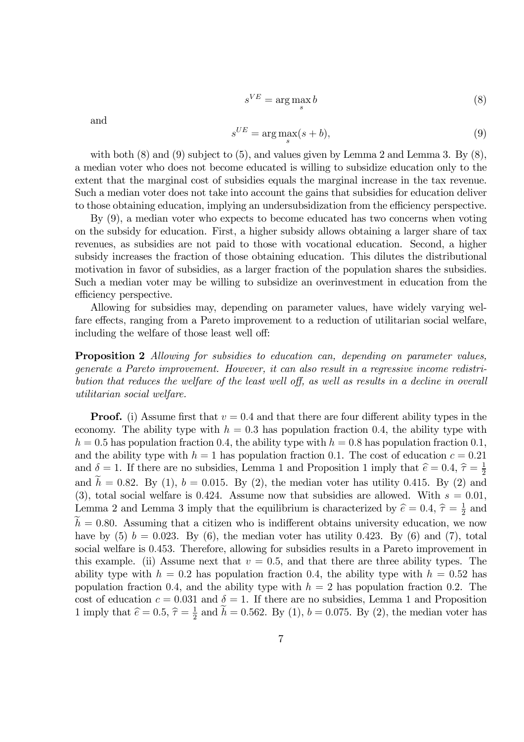$$
s^{VE} = \arg\max_{s} b \tag{8}
$$

and

$$
s^{UE} = \arg\max_{s}(s+b),\tag{9}
$$

with both  $(8)$  and  $(9)$  subject to  $(5)$ , and values given by Lemma 2 and Lemma 3. By  $(8)$ , a median voter who does not become educated is willing to subsidize education only to the extent that the marginal cost of subsidies equals the marginal increase in the tax revenue. Such a median voter does not take into account the gains that subsidies for education deliver to those obtaining education, implying an undersubsidization from the efficiency perspective.

By (9), a median voter who expects to become educated has two concerns when voting on the subsidy for education. First, a higher subsidy allows obtaining a larger share of tax revenues, as subsidies are not paid to those with vocational education. Second, a higher subsidy increases the fraction of those obtaining education. This dilutes the distributional motivation in favor of subsidies, as a larger fraction of the population shares the subsidies. Such a median voter may be willing to subsidize an overinvestment in education from the efficiency perspective.

Allowing for subsidies may, depending on parameter values, have widely varying welfare effects, ranging from a Pareto improvement to a reduction of utilitarian social welfare, including the welfare of those least well off:

Proposition 2 *Allowing for subsidies to education can, depending on parameter values, generate a Pareto improvement. However, it can also result in a regressive income redistribution that reduces the welfare of the least well off, as well as results in a decline in overall utilitarian social welfare.*

**Proof.** (i) Assume first that  $v = 0.4$  and that there are four different ability types in the economy. The ability type with  $h = 0.3$  has population fraction 0.4, the ability type with  $h = 0.5$  has population fraction 0.4, the ability type with  $h = 0.8$  has population fraction 0.1, and the ability type with  $h = 1$  has population fraction 0.1. The cost of education  $c = 0.21$ and  $\delta = 1$ . If there are no subsidies, Lemma 1 and Proposition 1 imply that  $\hat{e} = 0.4$ ,  $\hat{\tau} = \frac{1}{2}$ 2 and  $h = 0.82$ . By (1),  $b = 0.015$ . By (2), the median voter has utility 0.415. By (2) and (3), total social welfare is 0.424. Assume now that subsidies are allowed. With  $s = 0.01$ , Lemma 2 and Lemma 3 imply that the equilibrium is characterized by  $\hat{e} = 0.4$ ,  $\hat{\tau} = \frac{1}{2}$  $\frac{1}{2}$  and  $h = 0.80$ . Assuming that a citizen who is indifferent obtains university education, we now have by  $(5)$   $b = 0.023$ . By  $(6)$ , the median voter has utility 0.423. By  $(6)$  and  $(7)$ , total social welfare is 0.453. Therefore, allowing for subsidies results in a Pareto improvement in this example. (ii) Assume next that  $v = 0.5$ , and that there are three ability types. The ability type with  $h = 0.2$  has population fraction 0.4, the ability type with  $h = 0.52$  has population fraction 0.4, and the ability type with  $h = 2$  has population fraction 0.2. The cost of education  $c = 0.031$  and  $\delta = 1$ . If there are no subsidies, Lemma 1 and Proposition 1 imply that  $\hat{e} = 0.5$ ,  $\hat{\tau} = \frac{1}{2}$  $\frac{1}{2}$  and  $h = 0.562$ . By (1),  $b = 0.075$ . By (2), the median voter has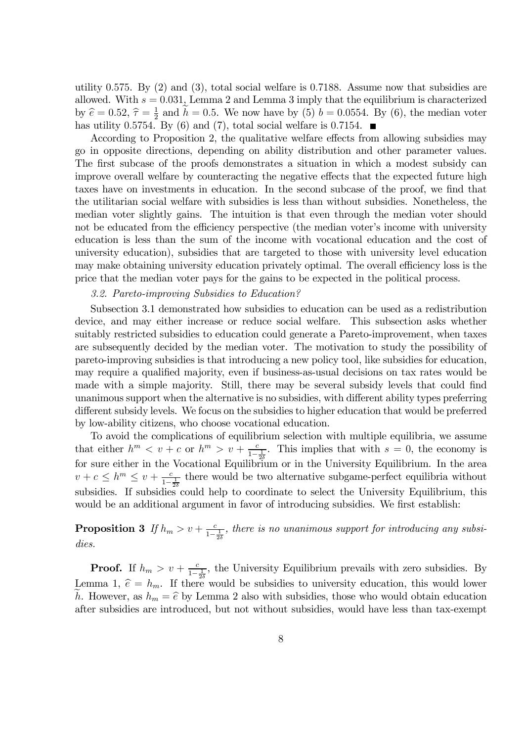utility 0.575. By (2) and (3), total social welfare is 0.7188. Assume now that subsidies are allowed. With  $s = 0.031$ , Lemma 2 and Lemma 3 imply that the equilibrium is characterized by  $\hat{e} = 0.52, \hat{\tau} = \frac{1}{2}$  $\frac{1}{2}$  and  $h = 0.5$ . We now have by (5)  $b = 0.0554$ . By (6), the median voter has utility 0.5754. By (6) and (7), total social welfare is 0.7154.  $\blacksquare$ 

According to Proposition 2, the qualitative welfare effects from allowing subsidies may go in opposite directions, depending on ability distribution and other parameter values. The first subcase of the proofs demonstrates a situation in which a modest subsidy can improve overall welfare by counteracting the negative effects that the expected future high taxes have on investments in education. In the second subcase of the proof, we find that the utilitarian social welfare with subsidies is less than without subsidies. Nonetheless, the median voter slightly gains. The intuition is that even through the median voter should not be educated from the efficiency perspective (the median voter's income with university education is less than the sum of the income with vocational education and the cost of university education), subsidies that are targeted to those with university level education may make obtaining university education privately optimal. The overall efficiency loss is the price that the median voter pays for the gains to be expected in the political process.

### *3.2. Pareto-improving Subsidies to Education?*

Subsection 3.1 demonstrated how subsidies to education can be used as a redistribution device, and may either increase or reduce social welfare. This subsection asks whether suitably restricted subsidies to education could generate a Pareto-improvement, when taxes are subsequently decided by the median voter. The motivation to study the possibility of pareto-improving subsidies is that introducing a new policy tool, like subsidies for education, may require a qualified majority, even if business-as-usual decisions on tax rates would be made with a simple majority. Still, there may be several subsidy levels that could find unanimous support when the alternative is no subsidies, with different ability types preferring different subsidy levels. We focus on the subsidies to higher education that would be preferred by low-ability citizens, who choose vocational education.

To avoid the complications of equilibrium selection with multiple equilibria, we assume that either  $h^m < v + c$  or  $h^m > v + \frac{c}{1-\frac{1}{2\delta}}$ . This implies that with  $s = 0$ , the economy is for sure either in the Vocational Equilibrium or in the University Equilibrium. In the area  $v + c \leq h^{m} \leq v + \frac{c}{1-\frac{1}{2\delta}}$  there would be two alternative subgame-perfect equilibria without subsidies. If subsidies could help to coordinate to select the University Equilibrium, this would be an additional argument in favor of introducing subsidies. We first establish:

### **Proposition 3** If  $h_m > v + \frac{c}{1-\frac{1}{2\delta}}$ , there is no unanimous support for introducing any subsi*dies.*

**Proof.** If  $h_m > v + \frac{c}{1-\frac{1}{2\delta}}$ , the University Equilibrium prevails with zero subsidies. By Lemma 1,  $\hat{e} = h_m$ . If there would be subsidies to university education, this would lower h. However, as  $h_m = \hat{e}$  by Lemma 2 also with subsidies, those who would obtain education after subsidies are introduced, but not without subsidies, would have less than tax-exempt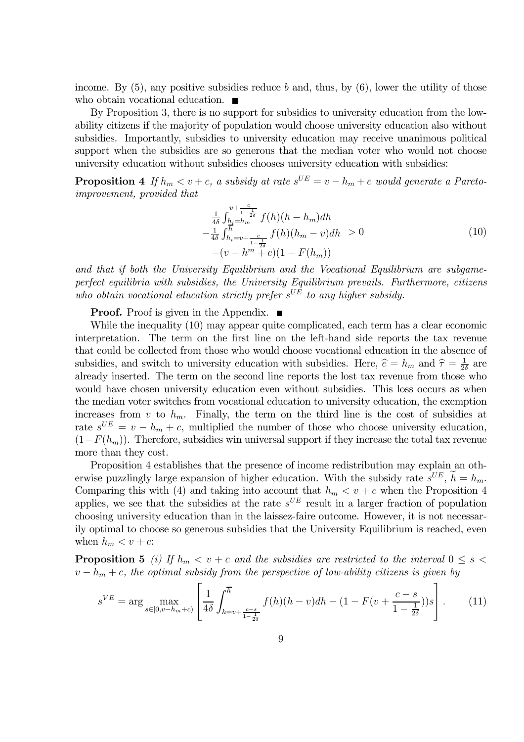income. By  $(5)$ , any positive subsidies reduce b and, thus, by  $(6)$ , lower the utility of those who obtain vocational education.  $\blacksquare$ 

By Proposition 3, there is no support for subsidies to university education from the lowability citizens if the majority of population would choose university education also without subsidies. Importantly, subsidies to university education may receive unanimous political support when the subsidies are so generous that the median voter who would not choose university education without subsidies chooses university education with subsidies:

**Proposition 4** If  $h_m < v + c$ , a subsidy at rate  $s^{UE} = v - h_m + c$  would generate a Pareto*improvement, provided that*

$$
\frac{1}{4\delta} \int_{\substack{h_i=h_m \\ h_i=v+\frac{c}{1-\frac{1}{2\delta}}}^{v+\frac{c}{1-\frac{1}{2\delta}}} f(h)(h-h_m)dh
$$
\n
$$
-\frac{1}{4\delta} \int_{h_i=v+\frac{c}{1-\frac{1}{2\delta}}}^{h} f(h)(h_m-v)dh > 0
$$
\n
$$
-(v-h^m+c)(1-F(h_m))
$$
\n(10)

*and that if both the University Equilibrium and the Vocational Equilibrium are subgameperfect equilibria with subsidies, the University Equilibrium prevails. Furthermore, citizens* who obtain vocational education strictly prefer  $s^{UE}$  to any higher subsidy.

**Proof.** Proof is given in the Appendix.  $\blacksquare$ 

While the inequality (10) may appear quite complicated, each term has a clear economic interpretation. The term on the first line on the left-hand side reports the tax revenue that could be collected from those who would choose vocational education in the absence of subsidies, and switch to university education with subsidies. Here,  $\hat{e} = h_m$  and  $\hat{\tau} = \frac{1}{2\hat{e}}$  $\frac{1}{2\delta}$  are already inserted. The term on the second line reports the lost tax revenue from those who would have chosen university education even without subsidies. This loss occurs as when the median voter switches from vocational education to university education, the exemption increases from v to  $h_m$ . Finally, the term on the third line is the cost of subsidies at rate  $s^{UE} = v - h_m + c$ , multiplied the number of those who choose university education,  $(1-F(h_m))$ . Therefore, subsidies win universal support if they increase the total tax revenue more than they cost.

Proposition 4 establishes that the presence of income redistribution may explain an otherwise puzzlingly large expansion of higher education. With the subsidy rate  $s^{UE}$ ,  $h = h_m$ . Comparing this with (4) and taking into account that  $h_m < v + c$  when the Proposition 4 applies, we see that the subsidies at the rate  $s^{UE}$  result in a larger fraction of population choosing university education than in the laissez-faire outcome. However, it is not necessarily optimal to choose so generous subsidies that the University Equilibrium is reached, even when  $h_m < v + c$ :

**Proposition 5** *(i)* If  $h_m < v + c$  and the subsidies are restricted to the interval  $0 \le s <$  $v - h_m + c$ , the optimal subsidy from the perspective of low-ability citizens is given by

$$
s^{VE} = \arg\max_{s \in [0, v - h_m + c)} \left[ \frac{1}{4\delta} \int_{h = v + \frac{c - s}{1 - \frac{1}{2\delta}}}^{\overline{h}} f(h)(h - v) dh - (1 - F(v + \frac{c - s}{1 - \frac{1}{2\delta}}))s \right].
$$
 (11)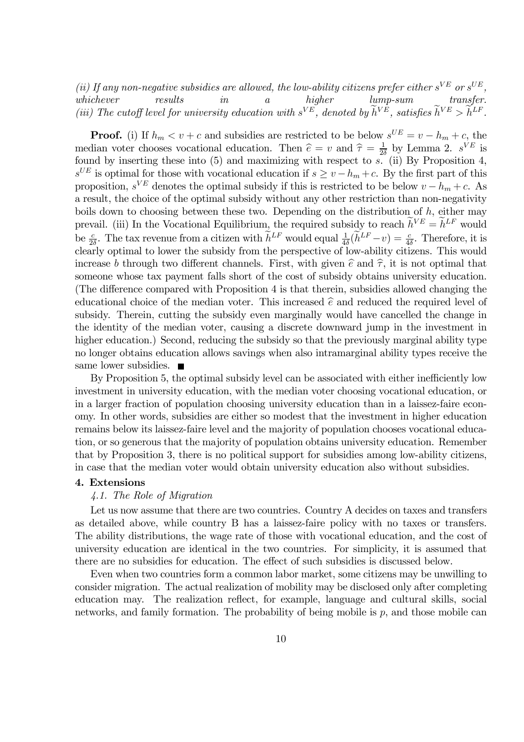(*ii*) If any non-negative subsidies are allowed, the low-ability citizens prefer either  $s^{VE}$  or  $s^{UE}$ , *whichever results in a higher lump-sum transfer.* (*iii*) The cutoff level for university education with  $s^{VE}$ , denoted by  $h^{VE}$ , satisfies  $h^{VE} > h^{LF}$ .

**Proof.** (i) If  $h_m < v + c$  and subsidies are restricted to be below  $s^{UE} = v - h_m + c$ , the median voter chooses vocational education. Then  $\hat{e} = v$  and  $\hat{\tau} = \frac{1}{2i}$  $\frac{1}{2\delta}$  by Lemma 2.  $s^{VE}$  is found by inserting these into  $(5)$  and maximizing with respect to s. (ii) By Proposition 4,  $s^{UE}$  is optimal for those with vocational education if  $s \ge v - h_m + c$ . By the first part of this proposition,  $s^{VE}$  denotes the optimal subsidy if this is restricted to be below  $v - h_m + c$ . As a result, the choice of the optimal subsidy without any other restriction than non-negativity boils down to choosing between these two. Depending on the distribution of  $h$ , either may prevail. (iii) In the Vocational Equilibrium, the required subsidy to reach  $h^{VE} = h^{LF}$  would be  $\frac{c}{2\delta}$ . The tax revenue from a citizen with  $h^{LF}$  would equal  $\frac{1}{4\delta}(h^{LF}-v) = \frac{c}{4\delta}$ . Therefore, it is clearly optimal to lower the subsidy from the perspective of low-ability citizens. This would increase b through two different channels. First, with given  $\hat{e}$  and  $\hat{\tau}$ , it is not optimal that someone whose tax payment falls short of the cost of subsidy obtains university education. (The difference compared with Proposition 4 is that therein, subsidies allowed changing the educational choice of the median voter. This increased  $\hat{e}$  and reduced the required level of subsidy. Therein, cutting the subsidy even marginally would have cancelled the change in the identity of the median voter, causing a discrete downward jump in the investment in higher education.) Second, reducing the subsidy so that the previously marginal ability type no longer obtains education allows savings when also intramarginal ability types receive the same lower subsidies. ■

By Proposition 5, the optimal subsidy level can be associated with either inefficiently low investment in university education, with the median voter choosing vocational education, or in a larger fraction of population choosing university education than in a laissez-faire economy. In other words, subsidies are either so modest that the investment in higher education remains below its laissez-faire level and the majority of population chooses vocational education, or so generous that the majority of population obtains university education. Remember that by Proposition 3, there is no political support for subsidies among low-ability citizens, in case that the median voter would obtain university education also without subsidies.

#### 4. Extensions

### *4.1. The Role of Migration*

Let us now assume that there are two countries. Country A decides on taxes and transfers as detailed above, while country B has a laissez-faire policy with no taxes or transfers. The ability distributions, the wage rate of those with vocational education, and the cost of university education are identical in the two countries. For simplicity, it is assumed that there are no subsidies for education. The effect of such subsidies is discussed below.

Even when two countries form a common labor market, some citizens may be unwilling to consider migration. The actual realization of mobility may be disclosed only after completing education may. The realization reflect, for example, language and cultural skills, social networks, and family formation. The probability of being mobile is  $p$ , and those mobile can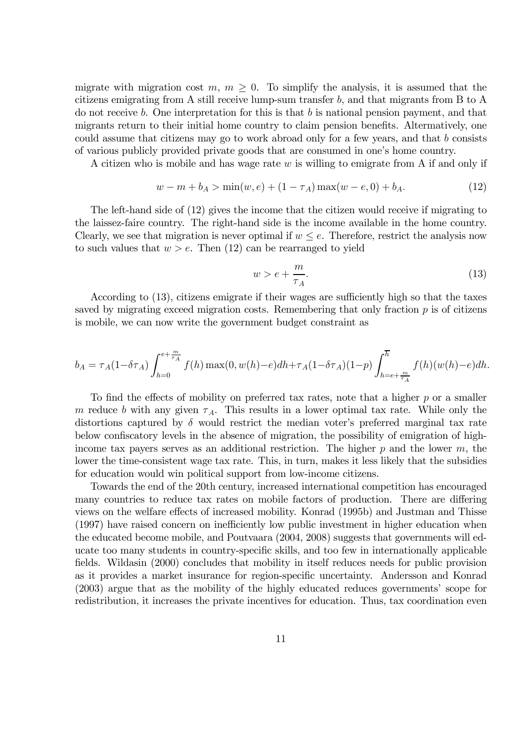migrate with migration cost  $m, m \geq 0$ . To simplify the analysis, it is assumed that the citizens emigrating from A still receive lump-sum transfer b, and that migrants from B to A do not receive b. One interpretation for this is that b is national pension payment, and that migrants return to their initial home country to claim pension benefits. Altermatively, one could assume that citizens may go to work abroad only for a few years, and that b consists of various publicly provided private goods that are consumed in one's home country.

A citizen who is mobile and has wage rate  $w$  is willing to emigrate from A if and only if

$$
w - m + b_A > \min(w, e) + (1 - \tau_A) \max(w - e, 0) + b_A.
$$
 (12)

The left-hand side of (12) gives the income that the citizen would receive if migrating to the laissez-faire country. The right-hand side is the income available in the home country. Clearly, we see that migration is never optimal if  $w \leq e$ . Therefore, restrict the analysis now to such values that  $w > e$ . Then (12) can be rearranged to yield

$$
w > e + \frac{m}{\tau_A}.\tag{13}
$$

According to (13), citizens emigrate if their wages are sufficiently high so that the taxes saved by migrating exceed migration costs. Remembering that only fraction  $p$  is of citizens is mobile, we can now write the government budget constraint as

$$
b_A = \tau_A(1 - \delta \tau_A) \int_{h=0}^{e + \frac{m}{\tau_A}} f(h) \max(0, w(h) - e) dh + \tau_A(1 - \delta \tau_A)(1 - p) \int_{h=e + \frac{m}{\tau_A}}^{\overline{h}} f(h) (w(h) - e) dh.
$$

To find the effects of mobility on preferred tax rates, note that a higher  $p$  or a smaller m reduce b with any given  $\tau_A$ . This results in a lower optimal tax rate. While only the distortions captured by  $\delta$  would restrict the median voter's preferred marginal tax rate below confiscatory levels in the absence of migration, the possibility of emigration of highincome tax payers serves as an additional restriction. The higher  $p$  and the lower  $m$ , the lower the time-consistent wage tax rate. This, in turn, makes it less likely that the subsidies for education would win political support from low-income citizens.

Towards the end of the 20th century, increased international competition has encouraged many countries to reduce tax rates on mobile factors of production. There are differing views on the welfare effects of increased mobility. Konrad (1995b) and Justman and Thisse (1997) have raised concern on inefficiently low public investment in higher education when the educated become mobile, and Poutvaara (2004, 2008) suggests that governments will educate too many students in country-specific skills, and too few in internationally applicable fields. Wildasin (2000) concludes that mobility in itself reduces needs for public provision as it provides a market insurance for region-specific uncertainty. Andersson and Konrad (2003) argue that as the mobility of the highly educated reduces governments' scope for redistribution, it increases the private incentives for education. Thus, tax coordination even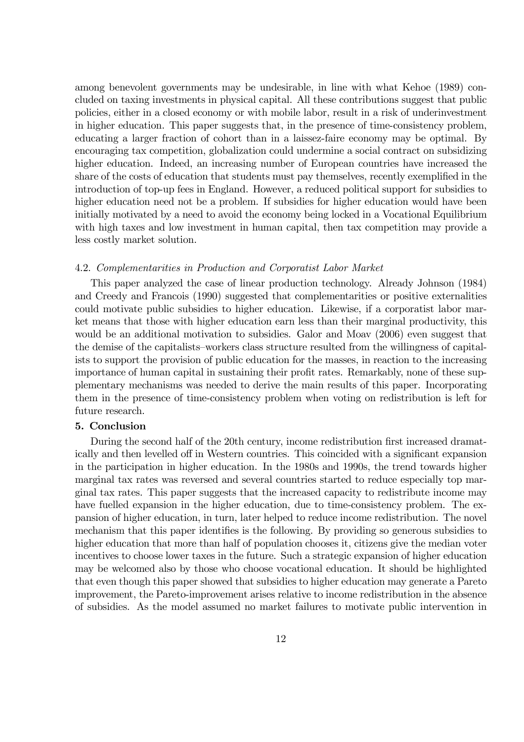among benevolent governments may be undesirable, in line with what Kehoe (1989) concluded on taxing investments in physical capital. All these contributions suggest that public policies, either in a closed economy or with mobile labor, result in a risk of underinvestment in higher education. This paper suggests that, in the presence of time-consistency problem, educating a larger fraction of cohort than in a laissez-faire economy may be optimal. By encouraging tax competition, globalization could undermine a social contract on subsidizing higher education. Indeed, an increasing number of European countries have increased the share of the costs of education that students must pay themselves, recently exemplified in the introduction of top-up fees in England. However, a reduced political support for subsidies to higher education need not be a problem. If subsidies for higher education would have been initially motivated by a need to avoid the economy being locked in a Vocational Equilibrium with high taxes and low investment in human capital, then tax competition may provide a less costly market solution.

#### 4.2. *Complementarities in Production and Corporatist Labor Market*

This paper analyzed the case of linear production technology. Already Johnson (1984) and Creedy and Francois (1990) suggested that complementarities or positive externalities could motivate public subsidies to higher education. Likewise, if a corporatist labor market means that those with higher education earn less than their marginal productivity, this would be an additional motivation to subsidies. Galor and Moav (2006) even suggest that the demise of the capitalists—workers class structure resulted from the willingness of capitalists to support the provision of public education for the masses, in reaction to the increasing importance of human capital in sustaining their profit rates. Remarkably, none of these supplementary mechanisms was needed to derive the main results of this paper. Incorporating them in the presence of time-consistency problem when voting on redistribution is left for future research.

### 5. Conclusion

During the second half of the 20th century, income redistribution first increased dramatically and then levelled off in Western countries. This coincided with a significant expansion in the participation in higher education. In the 1980s and 1990s, the trend towards higher marginal tax rates was reversed and several countries started to reduce especially top marginal tax rates. This paper suggests that the increased capacity to redistribute income may have fuelled expansion in the higher education, due to time-consistency problem. The expansion of higher education, in turn, later helped to reduce income redistribution. The novel mechanism that this paper identifies is the following. By providing so generous subsidies to higher education that more than half of population chooses it, citizens give the median voter incentives to choose lower taxes in the future. Such a strategic expansion of higher education may be welcomed also by those who choose vocational education. It should be highlighted that even though this paper showed that subsidies to higher education may generate a Pareto improvement, the Pareto-improvement arises relative to income redistribution in the absence of subsidies. As the model assumed no market failures to motivate public intervention in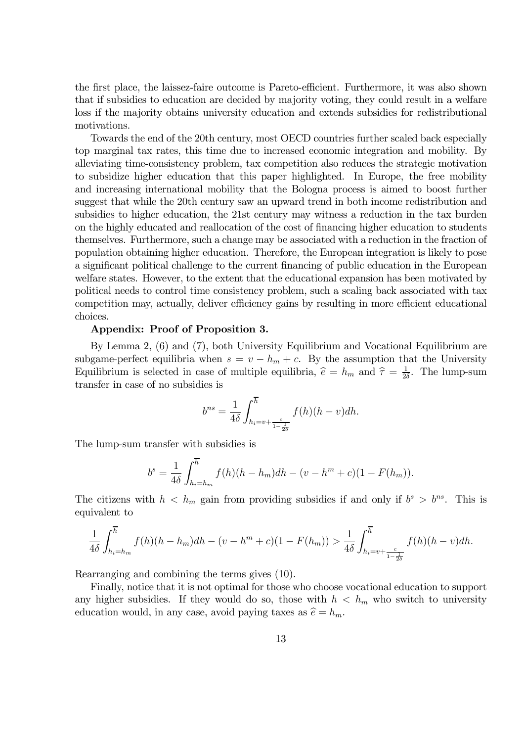the first place, the laissez-faire outcome is Pareto-efficient. Furthermore, it was also shown that if subsidies to education are decided by majority voting, they could result in a welfare loss if the majority obtains university education and extends subsidies for redistributional motivations.

Towards the end of the 20th century, most OECD countries further scaled back especially top marginal tax rates, this time due to increased economic integration and mobility. By alleviating time-consistency problem, tax competition also reduces the strategic motivation to subsidize higher education that this paper highlighted. In Europe, the free mobility and increasing international mobility that the Bologna process is aimed to boost further suggest that while the 20th century saw an upward trend in both income redistribution and subsidies to higher education, the 21st century may witness a reduction in the tax burden on the highly educated and reallocation of the cost of financing higher education to students themselves. Furthermore, such a change may be associated with a reduction in the fraction of population obtaining higher education. Therefore, the European integration is likely to pose a significant political challenge to the current financing of public education in the European welfare states. However, to the extent that the educational expansion has been motivated by political needs to control time consistency problem, such a scaling back associated with tax competition may, actually, deliver efficiency gains by resulting in more efficient educational choices.

### Appendix: Proof of Proposition 3.

By Lemma 2, (6) and (7), both University Equilibrium and Vocational Equilibrium are subgame-perfect equilibria when  $s = v - h_m + c$ . By the assumption that the University Equilibrium is selected in case of multiple equilibria,  $\hat{e} = h_m$  and  $\hat{\tau} = \frac{1}{2\hat{e}}$  $\frac{1}{2\delta}$ . The lump-sum transfer in case of no subsidies is

$$
b^{ns} = \frac{1}{4\delta} \int_{h_i = v + \frac{c}{1 - \frac{1}{2\delta}}}^{\overline{h}} f(h)(h - v) dh.
$$

The lump-sum transfer with subsidies is

$$
b^{s} = \frac{1}{4\delta} \int_{h_{i} = h_{m}}^{\overline{h}} f(h)(h - h_{m}) dh - (v - h^{m} + c)(1 - F(h_{m})).
$$

The citizens with  $h < h_m$  gain from providing subsidies if and only if  $b^s > b^{ns}$ . This is equivalent to

$$
\frac{1}{4\delta} \int_{h_i=h_m}^{\overline{h}} f(h)(h-h_m)dh - (v-h^m+c)(1-F(h_m)) > \frac{1}{4\delta} \int_{h_i=v+\frac{c}{1-\frac{1}{2\delta}}}^{\overline{h}} f(h)(h-v)dh.
$$

Rearranging and combining the terms gives (10).

Finally, notice that it is not optimal for those who choose vocational education to support any higher subsidies. If they would do so, those with  $h < h_m$  who switch to university education would, in any case, avoid paying taxes as  $\hat{e} = h_m$ .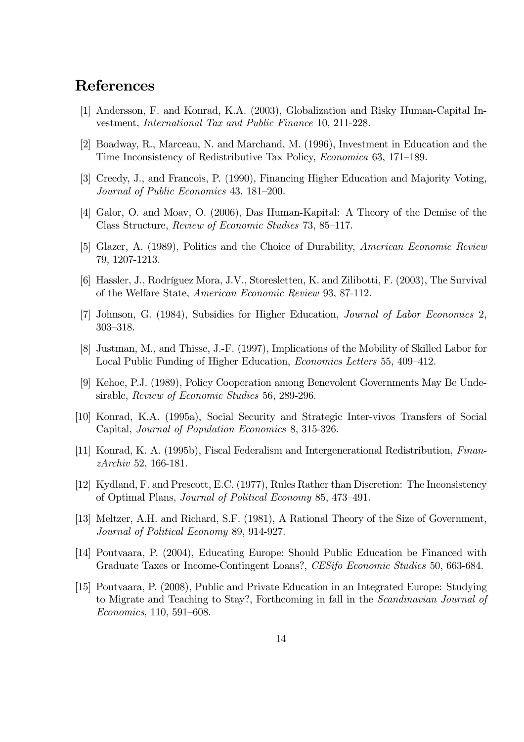## References

- [1] Andersson, F. and Konrad, K.A. (2003), Globalization and Risky Human-Capital Investment, *International Tax and Public Finance* 10, 211-228.
- [2] Boadway, R., Marceau, N. and Marchand, M. (1996), Investment in Education and the Time Inconsistency of Redistributive Tax Policy, *Economica* 63, 171—189.
- [3] Creedy, J., and Francois, P. (1990), Financing Higher Education and Majority Voting, *Journal of Public Economics* 43, 181—200.
- [4] Galor, O. and Moav, O. (2006), Das Human-Kapital: A Theory of the Demise of the Class Structure, *Review of Economic Studies* 73, 85—117.
- [5] Glazer, A. (1989), Politics and the Choice of Durability, *American Economic Review* 79, 1207-1213.
- [6] Hassler, J., Rodríguez Mora, J.V., Storesletten, K. and Zilibotti, F. (2003), The Survival of the Welfare State, *American Economic Review* 93, 87-112.
- [7] Johnson, G. (1984), Subsidies for Higher Education, *Journal of Labor Economics* 2, 303—318.
- [8] Justman, M., and Thisse, J.-F. (1997), Implications of the Mobility of Skilled Labor for Local Public Funding of Higher Education, *Economics Letters* 55, 409—412.
- [9] Kehoe, P.J. (1989), Policy Cooperation among Benevolent Governments May Be Undesirable, *Review of Economic Studies* 56, 289-296.
- [10] Konrad, K.A. (1995a), Social Security and Strategic Inter-vivos Transfers of Social Capital, *Journal of Population Economics* 8, 315-326.
- [11] Konrad, K. A. (1995b), Fiscal Federalism and Intergenerational Redistribution, *FinanzArchiv* 52, 166-181.
- [12] Kydland, F. and Prescott, E.C. (1977), Rules Rather than Discretion: The Inconsistency of Optimal Plans, *Journal of Political Economy* 85, 473—491.
- [13] Meltzer, A.H. and Richard, S.F. (1981), A Rational Theory of the Size of Government, *Journal of Political Economy* 89, 914-927.
- [14] Poutvaara, P. (2004), Educating Europe: Should Public Education be Financed with Graduate Taxes or Income-Contingent Loans?, *CESifo Economic Studies* 50, 663-684.
- [15] Poutvaara, P. (2008), Public and Private Education in an Integrated Europe: Studying to Migrate and Teaching to Stay?, Forthcoming in fall in the *Scandinavian Journal of Economics*, 110, 591—608.